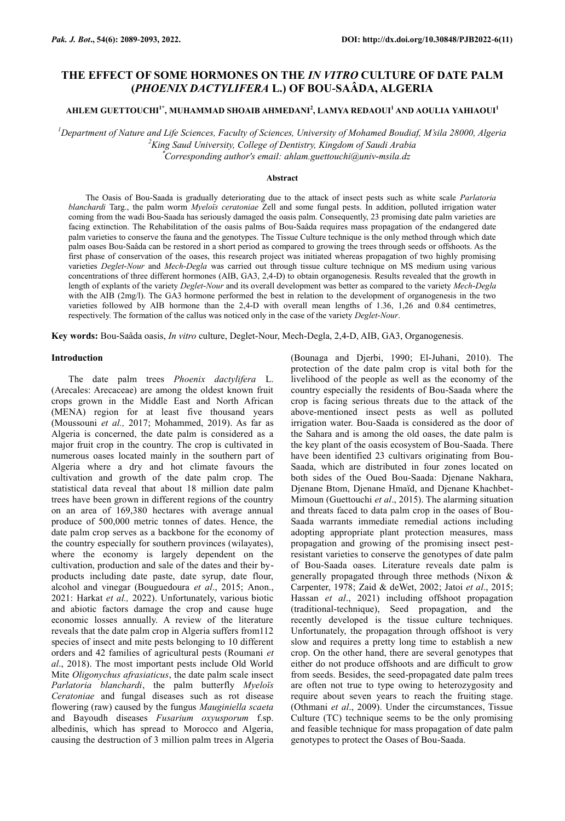# **THE EFFECT OF SOME HORMONES ON THE** *IN VITRO* **CULTURE OF DATE PALM (***PHOENIX DACTYLIFERA* **L.) OF BOU-SAÂDA, ALGERIA**

# **AHLEM GUETTOUCHI1\* , MUHAMMAD SHOAIB AHMEDANI<sup>2</sup> , LAMYA REDAOUI<sup>1</sup> AND AOULIA YAHIAOUI<sup>1</sup>**

*<sup>1</sup>Department of Nature and Life Sciences, Faculty of Sciences, University of Mohamed Boudiaf, M'sila 28000, Algeria <sup>2</sup>King Saud University, College of Dentistry, Kingdom of Saudi Arabia*

\**Corresponding author's email: ahlam.guettouchi@univ-msila.dz*

#### **Abstract**

The Oasis of Bou-Saada is gradually deteriorating due to the attack of insect pests such as white scale *Parlatoria blanchardi* Targ., the palm worm *Myeloïs ceratoniae* Zell and some fungal pests. In addition, polluted irrigation water coming from the wadi Bou-Saada has seriously damaged the oasis palm. Consequently, 23 promising date palm varieties are facing extinction. The Rehabilitation of the oasis palms of Bou-Saâda requires mass propagation of the endangered date palm varieties to conserve the fauna and the genotypes. The Tissue Culture technique is the only method through which date palm oases Bou-Saâda can be restored in a short period as compared to growing the trees through seeds or offshoots. As the first phase of conservation of the oases, this research project was initiated whereas propagation of two highly promising varieties *Deglet-Nour* and *Mech-Degla* was carried out through tissue culture technique on MS medium using various concentrations of three different hormones (AIB, GA3, 2,4-D) to obtain organogenesis. Results revealed that the growth in length of explants of the variety *Deglet-Nour* and its overall development was better as compared to the variety *Mech-Degla* with the AIB (2mg/l). The GA3 hormone performed the best in relation to the development of organogenesis in the two varieties followed by AIB hormone than the 2,4-D with overall mean lengths of 1.36, 1,26 and 0.84 centimetres, respectively. The formation of the callus was noticed only in the case of the variety *Deglet-Nour*.

**Key words:** Bou-Saâda oasis, *In vitro* culture, Deglet-Nour, Mech-Degla, 2,4-D, AIB, GA3, Organogenesis.

#### **Introduction**

The date palm trees *Phoenix dactylifera* L. (Arecales: Arecaceae) are among the oldest known fruit crops grown in the Middle East and North African (MENA) region for at least five thousand years (Moussouni *et al.,* 2017; Mohammed, 2019). As far as Algeria is concerned, the date palm is considered as a major fruit crop in the country. The crop is cultivated in numerous oases located mainly in the southern part of Algeria where a dry and hot climate favours the cultivation and growth of the date palm crop. The statistical data reveal that about 18 million date palm trees have been grown in different regions of the country on an area of 169,380 hectares with average annual produce of 500,000 metric tonnes of dates. Hence, the date palm crop serves as a backbone for the economy of the country especially for southern provinces (wilayates), where the economy is largely dependent on the cultivation, production and sale of the dates and their byproducts including date paste, date syrup, date flour, alcohol and vinegar (Bouguedoura *et al*., 2015; Anon., 2021: Harkat *et al.,* 2022). Unfortunately, various biotic and abiotic factors damage the crop and cause huge economic losses annually. A review of the literature reveals that the date palm crop in Algeria suffers from112 species of insect and mite pests belonging to 10 different orders and 42 families of agricultural pests (Roumani *et al*., 2018). The most important pests include Old World Mite *Oligonychus afrasiaticus*, the date palm scale insect *Parlatoria blanchardi*, the palm butterfly *Myeloïs Ceratoniae* and fungal diseases such as rot disease flowering (raw) caused by the fungus *Mauginiella scaeta*  and Bayoudh diseases *Fusarium oxyusporum* f.sp. albedinis, which has spread to Morocco and Algeria, causing the destruction of 3 million palm trees in Algeria

(Bounaga and Djerbi, 1990; El-Juhani, 2010). The protection of the date palm crop is vital both for the livelihood of the people as well as the economy of the country especially the residents of Bou-Saada where the crop is facing serious threats due to the attack of the above-mentioned insect pests as well as polluted irrigation water. Bou-Saada is considered as the door of the Sahara and is among the old oases, the date palm is the key plant of the oasis ecosystem of Bou-Saada. There have been identified 23 cultivars originating from Bou-Saada, which are distributed in four zones located on both sides of the Oued Bou-Saada: Djenane Nakhara, Djenane Btom, Djenane Hmaïd, and Djenane Khachbet-Mimoun (Guettouchi *et al*., 2015). The alarming situation and threats faced to data palm crop in the oases of Bou-Saada warrants immediate remedial actions including adopting appropriate plant protection measures, mass propagation and growing of the promising insect pestresistant varieties to conserve the genotypes of date palm of Bou-Saada oases. Literature reveals date palm is generally propagated through three methods (Nixon & Carpenter, 1978; Zaid & deWet, 2002; Jatoi *et al*., 2015; Hassan *et al*., 2021) including offshoot propagation (traditional-technique), Seed propagation, and the recently developed is the tissue culture techniques. Unfortunately, the propagation through offshoot is very slow and requires a pretty long time to establish a new crop. On the other hand, there are several genotypes that either do not produce offshoots and are difficult to grow from seeds. Besides, the seed-propagated date palm trees are often not true to type owing to heterozygosity and require about seven years to reach the fruiting stage. (Othmani *et al*., 2009). Under the circumstances, Tissue Culture (TC) technique seems to be the only promising and feasible technique for mass propagation of date palm genotypes to protect the Oases of Bou-Saada.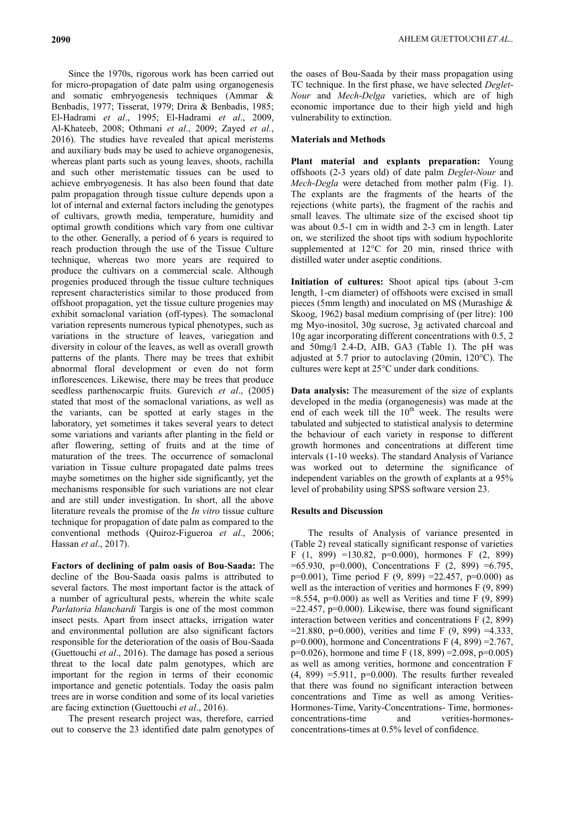Since the 1970s, rigorous work has been carried out for micro-propagation of date palm using organogenesis and somatic embryogenesis techniques (Ammar & Benbadis, 1977; Tisserat, 1979; Drira & Benbadis, 1985; El-Hadrami *et al*., 1995; El-Hadrami *et al*., 2009, AlKhateeb, 2008; Othmani *et al*., 2009; Zayed *et al.*, 2016). The studies have revealed that apical meristems and auxiliary buds may be used to achieve organogenesis, whereas plant parts such as young leaves, shoots, rachilla and such other meristematic tissues can be used to achieve embryogenesis. It has also been found that date palm propagation through tissue culture depends upon a lot of internal and external factors including the genotypes of cultivars, growth media, temperature, humidity and optimal growth conditions which vary from one cultivar to the other. Generally, a period of 6 years is required to reach production through the use of the Tissue Culture technique, whereas two more years are required to produce the cultivars on a commercial scale. Although progenies produced through the tissue culture techniques represent characteristics similar to those produced from offshoot propagation, yet the tissue culture progenies may exhibit somaclonal variation (off-types). The somaclonal variation represents numerous typical phenotypes, such as variations in the structure of leaves, variegation and diversity in colour of the leaves, as well as overall growth patterns of the plants. There may be trees that exhibit abnormal floral development or even do not form inflorescences. Likewise, there may be trees that produce seedless parthenocarpic fruits. Gurevich *et al*., (2005) stated that most of the somaclonal variations, as well as the variants, can be spotted at early stages in the laboratory, yet sometimes it takes several years to detect some variations and variants after planting in the field or after flowering, setting of fruits and at the time of maturation of the trees. The occurrence of somaclonal variation in Tissue culture propagated date palms trees maybe sometimes on the higher side significantly, yet the mechanisms responsible for such variations are not clear and are still under investigation. In short, all the above literature reveals the promise of the *In vitro* tissue culture technique for propagation of date palm as compared to the conventional methods (Quiroz-Figueroa *et al*., 2006; Hassan *et al*., 2017).

**Factors of declining of palm oasis of Bou-Saada:** The decline of the Bou-Saada oasis palms is attributed to several factors. The most important factor is the attack of a number of agricultural pests, wherein the white scale *Parlatoria blanchardi* Targis is one of the most common insect pests. Apart from insect attacks, irrigation water and environmental pollution are also significant factors responsible for the deterioration of the oasis of Bou-Saada (Guettouchi *et al*., 2016). The damage has posed a serious threat to the local date palm genotypes, which are important for the region in terms of their economic importance and genetic potentials. Today the oasis palm trees are in worse condition and some of its local varieties are facing extinction (Guettouchi *et al*., 2016).

The present research project was, therefore, carried out to conserve the 23 identified date palm genotypes of the oases of Bou-Saada by their mass propagation using TC technique. In the first phase, we have selected *Deglet-Nour* and *Mech-Delga* varieties, which are of high economic importance due to their high yield and high vulnerability to extinction.

## **Materials and Methods**

**Plant material and explants preparation:** Young offshoots (2-3 years old) of date palm *Deglet-Nour* and *Mech-Degla* were detached from mother palm (Fig. 1). The explants are the fragments of the hearts of the rejections (white parts), the fragment of the rachis and small leaves. The ultimate size of the excised shoot tip was about 0.5-1 cm in width and 2-3 cm in length. Later on, we sterilized the shoot tips with sodium hypochlorite supplemented at 12°C for 20 min, rinsed thrice with distilled water under aseptic conditions.

**Initiation of cultures:** Shoot apical tips (about 3-cm length, 1-cm diameter) of offshoots were excised in small pieces (5mm length) and inoculated on MS (Murashige & Skoog, 1962) basal medium comprising of (per litre): 100 mg Myo-inositol, 30g sucrose, 3g activated charcoal and 10g agar incorporating different concentrations with 0.5, 2 and 50mg/l 2.4-D, AIB, GA3 (Table 1). The pH was adjusted at 5.7 prior to autoclaving (20min, 120°C). The cultures were kept at 25°C under dark conditions.

**Data analysis:** The measurement of the size of explants developed in the media (organogenesis) was made at the end of each week till the  $10<sup>th</sup>$  week. The results were tabulated and subjected to statistical analysis to determine the behaviour of each variety in response to different growth hormones and concentrations at different time intervals (1-10 weeks). The standard Analysis of Variance was worked out to determine the significance of independent variables on the growth of explants at a 95% level of probability using SPSS software version 23.

# **Results and Discussion**

The results of Analysis of variance presented in (Table 2) reveal statically significant response of varieties F (1, 899) =130.82, p=0.000), hormones F (2, 899)  $=65.930, p=0.000$ , Concentrations F  $(2, 899) = 6.795$ , p=0.001), Time period F (9, 899) = 22.457, p=0.000) as well as the interaction of verities and hormones F (9, 899)  $=8.554$ , p $=0.000$ ) as well as Verities and time F (9, 899)  $=$ 22.457, p=0.000). Likewise, there was found significant interaction between verities and concentrations F (2, 899)  $=$  21.880, p=0.000), verities and time F (9, 899) = 4.333,  $p=0.000$ ), hormone and Concentrations F (4, 899) = 2.767, p=0.026), hormone and time F (18, 899) =2.098, p=0.005) as well as among verities, hormone and concentration F  $(4, 899) = 5.911$ , p=0.000). The results further revealed that there was found no significant interaction between concentrations and Time as well as among Verities-Hormones-Time, Varity-Concentrations- Time, hormonesconcentrations-time and verities-hormonesconcentrations-times at 0.5% level of confidence.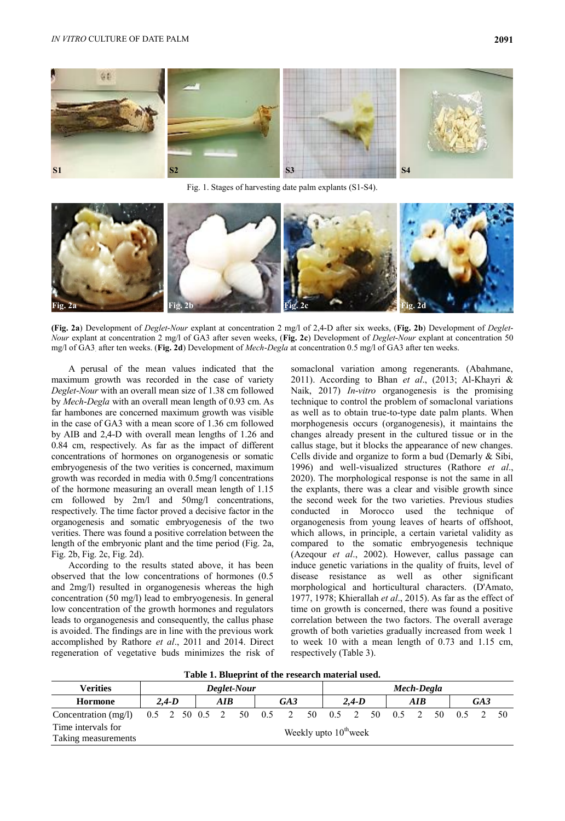

Fig. 1. Stages of harvesting date palm explants (S1-S4).



**(Fig. 2a**) Development of *Deglet-Nour* explant at concentration 2 mg/l of 2,4-D after six weeks, (**Fig. 2b**) Development of *Deglet-Nour* explant at concentration 2 mg/l of GA3 after seven weeks, (**Fig. 2c**) Development of *Deglet-Nour* explant at concentration 50 mg/l of GA3. after ten weeks. (**Fig. 2d**) Development of *Mech-Degla* at concentration 0.5 mg/l of GA3 after ten weeks.

A perusal of the mean values indicated that the maximum growth was recorded in the case of variety *Deglet-Nour* with an overall mean size of 1.38 cm followed by *Mech-Degla* with an overall mean length of 0.93 cm. As far hambones are concerned maximum growth was visible in the case of GA3 with a mean score of 1.36 cm followed by AIB and 2,4-D with overall mean lengths of 1.26 and 0.84 cm, respectively. As far as the impact of different concentrations of hormones on organogenesis or somatic embryogenesis of the two verities is concerned, maximum growth was recorded in media with 0.5mg/l concentrations of the hormone measuring an overall mean length of 1.15 cm followed by 2m/l and 50mg/l concentrations, respectively. The time factor proved a decisive factor in the organogenesis and somatic embryogenesis of the two verities. There was found a positive correlation between the length of the embryonic plant and the time period (Fig. 2a, Fig. 2b, Fig. 2c, Fig. 2d).

According to the results stated above, it has been observed that the low concentrations of hormones (0.5 and 2mg/l) resulted in organogenesis whereas the high concentration (50 mg/l) lead to embryogenesis. In general low concentration of the growth hormones and regulators leads to organogenesis and consequently, the callus phase is avoided. The findings are in line with the previous work accomplished by Rathore *et al*., 2011 and 2014. Direct regeneration of vegetative buds minimizes the risk of somaclonal variation among regenerants. (Abahmane, 2011). According to Bhan *et al*., (2013; Al-Khayri & Naik, 2017) *In-vitro* organogenesis is the promising technique to control the problem of somaclonal variations as well as to obtain true-to-type date palm plants. When morphogenesis occurs (organogenesis), it maintains the changes already present in the cultured tissue or in the callus stage, but it blocks the appearance of new changes. Cells divide and organize to form a bud (Demarly & Sibi, 1996) and well-visualized structures (Rathore *et al*., 2020). The morphological response is not the same in all the explants, there was a clear and visible growth since the second week for the two varieties. Previous studies conducted in Morocco used the technique of organogenesis from young leaves of hearts of offshoot, which allows, in principle, a certain varietal validity as compared to the somatic embryogenesis technique (Azeqour *et al*., 2002). However, callus passage can induce genetic variations in the quality of fruits, level of disease resistance as well as other significant morphological and horticultural characters. (D'Amato, 1977, 1978; Khierallah *et al*., 2015). As far as the effect of time on growth is concerned, there was found a positive correlation between the two factors. The overall average growth of both varieties gradually increased from week 1 to week 10 with a mean length of 0.73 and 1.15 cm, respectively (Table 3).

**Table 1. Blueprint of the research material used.**

| <b>Verities</b>                           | Deglet-Nour                   |  |     |  |  | Mech-Degla |  |  |     |                                   |  |     |                                                  |  |  |  |  |  |
|-------------------------------------------|-------------------------------|--|-----|--|--|------------|--|--|-----|-----------------------------------|--|-----|--------------------------------------------------|--|--|--|--|--|
| <b>Hormone</b>                            | $2.4-D$<br>$\boldsymbol{AIB}$ |  | GA3 |  |  | $2.4-D$    |  |  | AIB |                                   |  | GA3 |                                                  |  |  |  |  |  |
| Concentration (mg/l)                      |                               |  |     |  |  |            |  |  |     |                                   |  |     | 0.5 2 50 0.5 2 50 0.5 2 50 0.5 2 50 0.5 2 50 0.5 |  |  |  |  |  |
| Time intervals for<br>Taking measurements |                               |  |     |  |  |            |  |  |     | Weekly upto 10 <sup>th</sup> week |  |     |                                                  |  |  |  |  |  |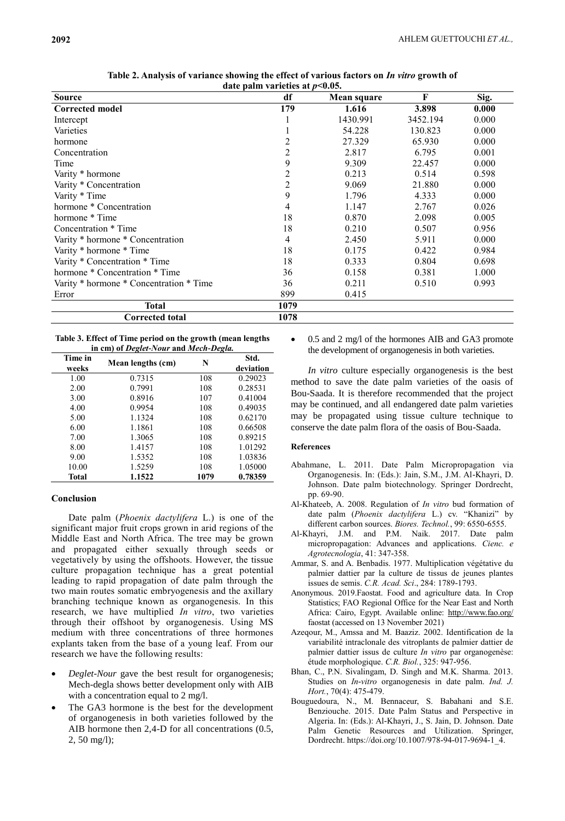| $\alpha$ and $\alpha$ and $\alpha$ and $\alpha$ and $\alpha$ and $\alpha$ and $\alpha$ and $\alpha$ and $\alpha$ and $\alpha$ and $\alpha$ and $\alpha$ and $\alpha$ and $\alpha$ and $\alpha$ and $\alpha$ and $\alpha$ and $\alpha$ and $\alpha$ and $\alpha$ and $\alpha$ and $\alpha$ and $\alpha$ and $\alpha$ and $\alpha$ |                |             |          |       |  |  |  |  |
|----------------------------------------------------------------------------------------------------------------------------------------------------------------------------------------------------------------------------------------------------------------------------------------------------------------------------------|----------------|-------------|----------|-------|--|--|--|--|
| <b>Source</b>                                                                                                                                                                                                                                                                                                                    | df             | Mean square | F        | Sig.  |  |  |  |  |
| <b>Corrected model</b>                                                                                                                                                                                                                                                                                                           | 179            | 1.616       | 3.898    | 0.000 |  |  |  |  |
| Intercept                                                                                                                                                                                                                                                                                                                        |                | 1430.991    | 3452.194 | 0.000 |  |  |  |  |
| Varieties                                                                                                                                                                                                                                                                                                                        |                | 54.228      | 130.823  | 0.000 |  |  |  |  |
| hormone                                                                                                                                                                                                                                                                                                                          | 2              | 27.329      | 65.930   | 0.000 |  |  |  |  |
| Concentration                                                                                                                                                                                                                                                                                                                    | $\overline{c}$ | 2.817       | 6.795    | 0.001 |  |  |  |  |
| Time                                                                                                                                                                                                                                                                                                                             | 9              | 9.309       | 22.457   | 0.000 |  |  |  |  |
| Varity * hormone                                                                                                                                                                                                                                                                                                                 | $\overline{c}$ | 0.213       | 0.514    | 0.598 |  |  |  |  |
| Varity * Concentration                                                                                                                                                                                                                                                                                                           | $\overline{c}$ | 9.069       | 21.880   | 0.000 |  |  |  |  |
| Varity * Time                                                                                                                                                                                                                                                                                                                    | 9              | 1.796       | 4.333    | 0.000 |  |  |  |  |
| hormone * Concentration                                                                                                                                                                                                                                                                                                          | 4              | 1.147       | 2.767    | 0.026 |  |  |  |  |
| hormone * Time                                                                                                                                                                                                                                                                                                                   | 18             | 0.870       | 2.098    | 0.005 |  |  |  |  |
| Concentration * Time                                                                                                                                                                                                                                                                                                             | 18             | 0.210       | 0.507    | 0.956 |  |  |  |  |
| Varity * hormone * Concentration                                                                                                                                                                                                                                                                                                 | 4              | 2.450       | 5.911    | 0.000 |  |  |  |  |
| Varity * hormone * Time                                                                                                                                                                                                                                                                                                          | 18             | 0.175       | 0.422    | 0.984 |  |  |  |  |
| Varity * Concentration * Time                                                                                                                                                                                                                                                                                                    | 18             | 0.333       | 0.804    | 0.698 |  |  |  |  |
| hormone * Concentration * Time                                                                                                                                                                                                                                                                                                   | 36             | 0.158       | 0.381    | 1.000 |  |  |  |  |
| Varity * hormone * Concentration * Time                                                                                                                                                                                                                                                                                          | 36             | 0.211       | 0.510    | 0.993 |  |  |  |  |
| Error                                                                                                                                                                                                                                                                                                                            | 899            | 0.415       |          |       |  |  |  |  |
| <b>Total</b>                                                                                                                                                                                                                                                                                                                     | 1079           |             |          |       |  |  |  |  |
| <b>Corrected total</b>                                                                                                                                                                                                                                                                                                           | 1078           |             |          |       |  |  |  |  |

**Table 2. Analysis of variance showing the effect of various factors on** *In vitro* **growth of date palm varieties at** *p***<0.05.**

**Table 3. Effect of Time period on the growth (mean lengths in cm) of** *Deglet-Nour* **and** *Mech-Degla.*

| Time in<br>weeks | Mean lengths (cm) | N    | Std.<br>deviation |
|------------------|-------------------|------|-------------------|
| 1.00             | 0.7315            | 108  | 0.29023           |
| 2.00             | 0.7991            | 108  | 0.28531           |
| 3.00             | 0.8916            | 107  | 0.41004           |
| 4.00             | 0.9954            | 108  | 0.49035           |
| 5.00             | 1.1324            | 108  | 0.62170           |
| 6.00             | 1.1861            | 108  | 0.66508           |
| 7.00             | 1.3065            | 108  | 0.89215           |
| 8.00             | 1.4157            | 108  | 1.01292           |
| 9.00             | 1.5352            | 108  | 1.03836           |
| 10.00            | 1.5259            | 108  | 1.05000           |
| Total            | 1.1522            | 1079 | 0.78359           |

# **Conclusion**

Date palm (*Phoenix dactylifera* L.) is one of the significant major fruit crops grown in arid regions of the Middle East and North Africa. The tree may be grown and propagated either sexually through seeds or vegetatively by using the offshoots. However, the tissue culture propagation technique has a great potential leading to rapid propagation of date palm through the two main routes somatic embryogenesis and the axillary branching technique known as organogenesis. In this research, we have multiplied *In vitro*, two varieties through their offshoot by organogenesis. Using MS medium with three concentrations of three hormones explants taken from the base of a young leaf. From our research we have the following results:

- *Deglet-Nour* gave the best result for organogenesis; Mech-degla shows better development only with AIB with a concentration equal to 2 mg/l.
- The GA3 hormone is the best for the development of organogenesis in both varieties followed by the AIB hormone then 2,4-D for all concentrations (0.5, 2, 50 mg/l);

 0.5 and 2 mg/l of the hormones AIB and GA3 promote the development of organogenesis in both varieties.

*In vitro* culture especially organogenesis is the best method to save the date palm varieties of the oasis of Bou-Saada. It is therefore recommended that the project may be continued, and all endangered date palm varieties may be propagated using tissue culture technique to conserve the date palm flora of the oasis of Bou-Saada.

# **References**

- Abahmane, L. 2011. Date Palm Micropropagation via Organogenesis. In: (Eds.): Jain, S.M., J.M. Al-Khayri, D. Johnson. Date palm biotechnology. Springer Dordrecht, pp. 69-90.
- Al-Khateeb, A. 2008. Regulation of *In vitro* bud formation of date palm (*Phoenix dactylifera* L.) cv. "Khanizi" by different carbon sources. *Biores. Technol.*, 99: 6550-6555.
- Al-Khayri, J.M. and P.M. Naik. 2017. Date palm micropropagation: Advances and applications. *Cienc. e Agrotecnologia*, 41: 347-358.
- Ammar, S. and A. Benbadis. 1977. Multiplication végétative du palmier dattier par la culture de tissus de jeunes plantes issues de semis. *C.R. Acad. Sci*., 284: 1789-1793.
- Anonymous. 2019.Faostat. Food and agriculture data. In Crop Statistics; FAO Regional Office for the Near East and North Africa: Cairo, Egypt. Available online:<http://www.fao.org/> faostat (accessed on 13 November 2021)
- Azeqour, M., Amssa and M. Baaziz. 2002. Identification de la variabilité intraclonale des vitroplants de palmier dattier de palmier dattier issus de culture *In vitro* par organogenèse: étude morphologique. *C.R. Biol.*, 325: 947-956.
- Bhan, C., P.N. Sivalingam, D. Singh and M.K. Sharma. 2013. Studies on *In-vitro* organogenesis in date palm. *Ind. J. Hort.*, 70(4): 475-479.
- Bouguedoura, N., M. Bennaceur, S. Babahani and S.E. Benziouche. 2015. Date Palm Status and Perspective in Algeria. In: (Eds.): Al-Khayri, J., S. Jain, D. Johnson. Date Palm Genetic Resources and Utilization. Springer, Dordrecht. https://doi.org/10.1007/978-94-017-9694-1\_4.